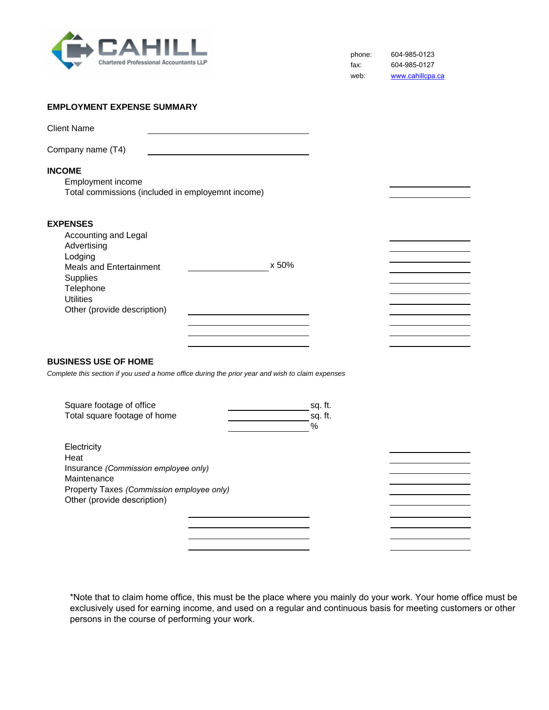

phone: fax: web: 604-985-0123 604-985-0127 www.cahillcpa.ca

## **EMPLOYMENT EXPENSE SUMMARY**

| <b>Client Name</b>                 |                                                   |  |
|------------------------------------|---------------------------------------------------|--|
| Company name (T4)                  |                                                   |  |
| <b>INCOME</b><br>Employment income | Total commissions (included in employemnt income) |  |
| <b>EXPENSES</b>                    |                                                   |  |

| Accounting and Legal<br>Advertising<br>Lodging<br>Meals and Entertainment<br><b>Supplies</b><br>Telephone<br><b>Utilities</b><br>Other (provide description) | x 50% |  |
|--------------------------------------------------------------------------------------------------------------------------------------------------------------|-------|--|
|                                                                                                                                                              |       |  |

# **BUSINESS USE OF HOME**

*Complete this section if you used a home office during the prior year and wish to claim expenses*

| Square footage of office<br>Total square footage of home                                                                | sq. ft.<br>sq. ft.<br>% |  |
|-------------------------------------------------------------------------------------------------------------------------|-------------------------|--|
| Electricity<br>Heat<br>Insurance (Commission employee only)<br>Maintenance<br>Property Taxes (Commission employee only) |                         |  |
| Other (provide description)                                                                                             |                         |  |

\*Note that to claim home office, this must be the place where you mainly do your work. Your home office must be exclusively used for earning income, and used on a regular and continuous basis for meeting customers or other persons in the course of performing your work.